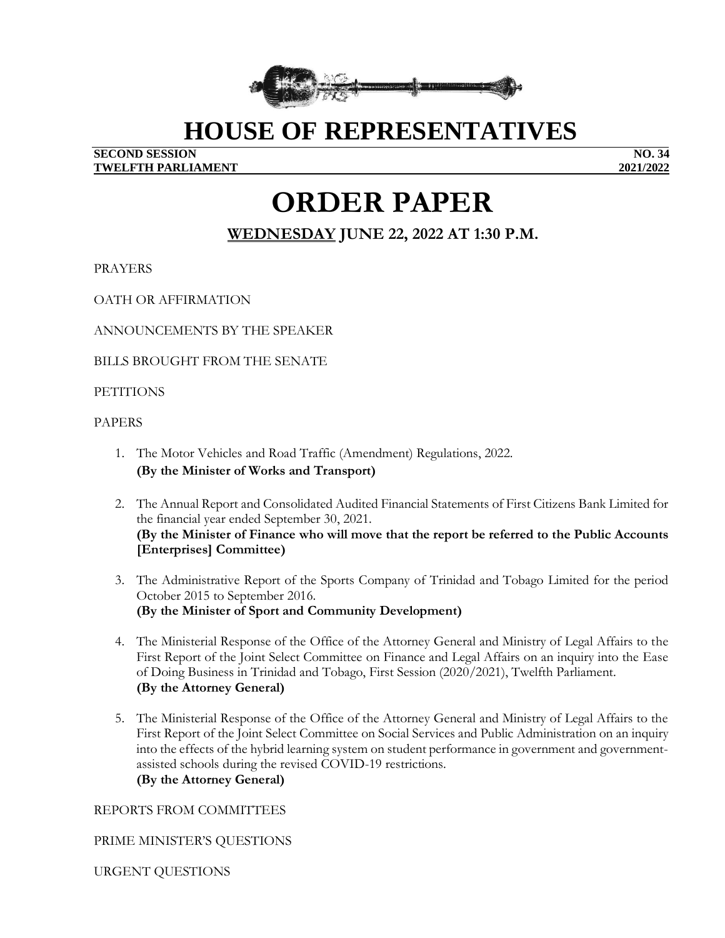

## **HOUSE OF REPRESENTATIVES**

#### **SECOND SESSION NO. 34 TWELFTH PARLIAMENT 2021/2022**

# **ORDER PAPER**

## **WEDNESDAY JUNE 22, 2022 AT 1:30 P.M.**

PRAYERS

OATH OR AFFIRMATION

ANNOUNCEMENTS BY THE SPEAKER

BILLS BROUGHT FROM THE SENATE

#### **PETITIONS**

#### PAPERS

- 1. The Motor Vehicles and Road Traffic (Amendment) Regulations, 2022. **(By the Minister of Works and Transport)**
- 2. The Annual Report and Consolidated Audited Financial Statements of First Citizens Bank Limited for the financial year ended September 30, 2021. **(By the Minister of Finance who will move that the report be referred to the Public Accounts [Enterprises] Committee)**
- 3. The Administrative Report of the Sports Company of Trinidad and Tobago Limited for the period October 2015 to September 2016. **(By the Minister of Sport and Community Development)**
- 4. The Ministerial Response of the Office of the Attorney General and Ministry of Legal Affairs to the First Report of the Joint Select Committee on Finance and Legal Affairs on an inquiry into the Ease of Doing Business in Trinidad and Tobago, First Session (2020/2021), Twelfth Parliament. **(By the Attorney General)**
- 5. The Ministerial Response of the Office of the Attorney General and Ministry of Legal Affairs to the First Report of the Joint Select Committee on Social Services and Public Administration on an inquiry into the effects of the hybrid learning system on student performance in government and governmentassisted schools during the revised COVID-19 restrictions. **(By the Attorney General)**

REPORTS FROM COMMITTEES

PRIME MINISTER'S QUESTIONS

URGENT QUESTIONS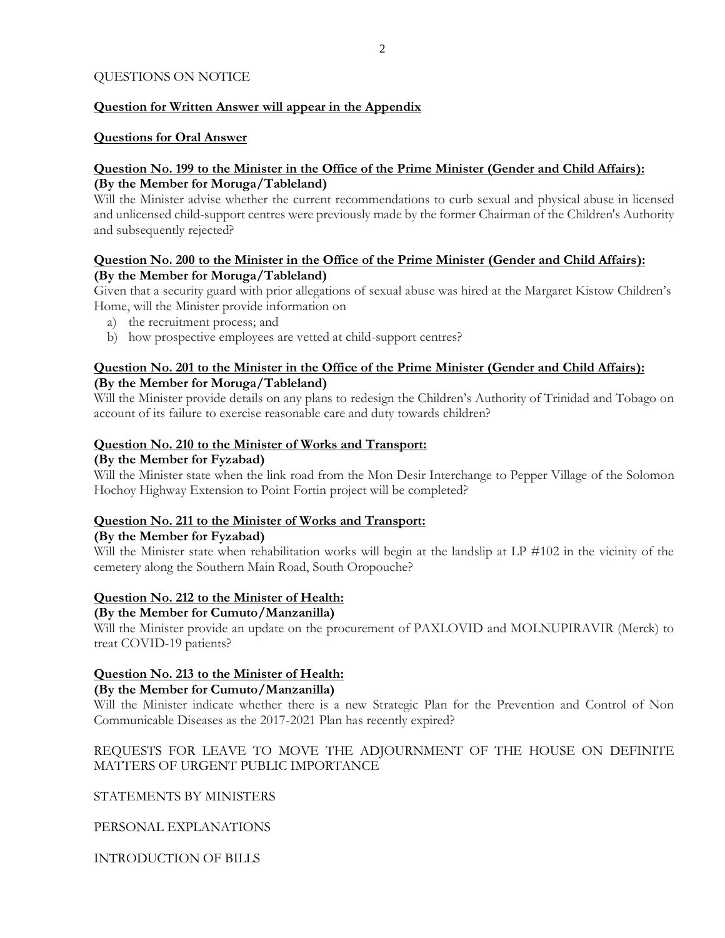#### QUESTIONS ON NOTICE

#### **Question for Written Answer will appear in the Appendix**

#### **Questions for Oral Answer**

#### **Question No. 199 to the Minister in the Office of the Prime Minister (Gender and Child Affairs): (By the Member for Moruga/Tableland)**

Will the Minister advise whether the current recommendations to curb sexual and physical abuse in licensed and unlicensed child-support centres were previously made by the former Chairman of the Children's Authority and subsequently rejected?

#### **Question No. 200 to the Minister in the Office of the Prime Minister (Gender and Child Affairs): (By the Member for Moruga/Tableland)**

Given that a security guard with prior allegations of sexual abuse was hired at the Margaret Kistow Children's Home, will the Minister provide information on

- a) the recruitment process; and
- b) how prospective employees are vetted at child-support centres?

#### **Question No. 201 to the Minister in the Office of the Prime Minister (Gender and Child Affairs): (By the Member for Moruga/Tableland)**

Will the Minister provide details on any plans to redesign the Children's Authority of Trinidad and Tobago on account of its failure to exercise reasonable care and duty towards children?

#### **Question No. 210 to the Minister of Works and Transport:**

#### **(By the Member for Fyzabad)**

Will the Minister state when the link road from the Mon Desir Interchange to Pepper Village of the Solomon Hochoy Highway Extension to Point Fortin project will be completed?

#### **Question No. 211 to the Minister of Works and Transport:**

#### **(By the Member for Fyzabad)**

Will the Minister state when rehabilitation works will begin at the landslip at LP #102 in the vicinity of the cemetery along the Southern Main Road, South Oropouche?

#### **Question No. 212 to the Minister of Health:**

#### **(By the Member for Cumuto/Manzanilla)**

Will the Minister provide an update on the procurement of PAXLOVID and MOLNUPIRAVIR (Merck) to treat COVID-19 patients?

#### **Question No. 213 to the Minister of Health:**

#### **(By the Member for Cumuto/Manzanilla)**

Will the Minister indicate whether there is a new Strategic Plan for the Prevention and Control of Non Communicable Diseases as the 2017-2021 Plan has recently expired?

#### REQUESTS FOR LEAVE TO MOVE THE ADJOURNMENT OF THE HOUSE ON DEFINITE MATTERS OF URGENT PUBLIC IMPORTANCE

STATEMENTS BY MINISTERS

PERSONAL EXPLANATIONS

INTRODUCTION OF BILLS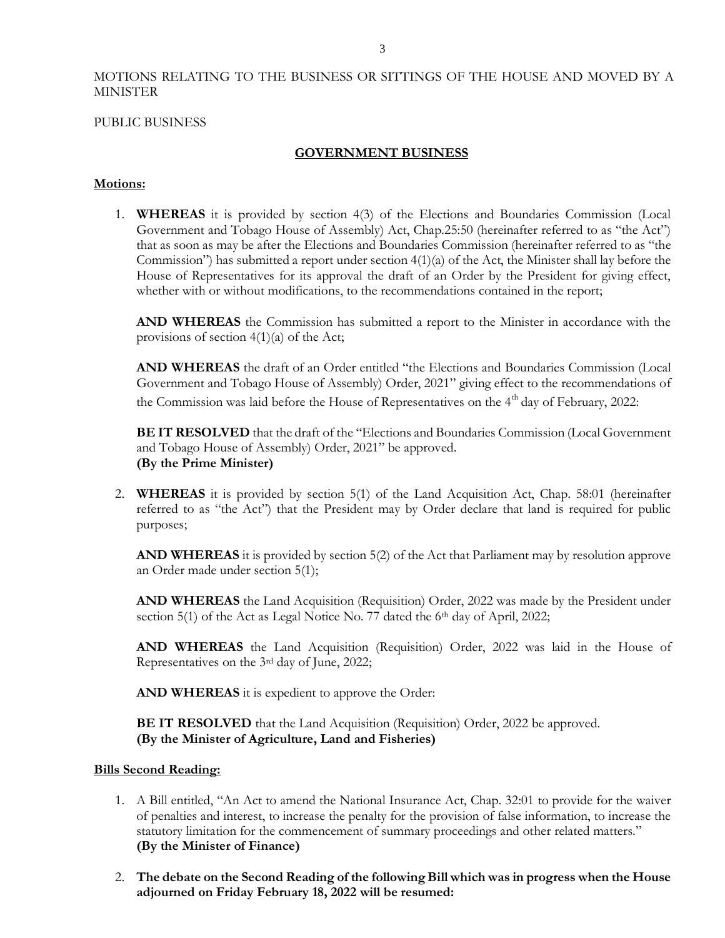#### MOTIONS RELATING TO THE BUSINESS OR SITTINGS OF THE HOUSE AND MOVED BY A MINISTER

#### PUBLIC BUSINESS

#### **GOVERNMENT BUSINESS**

#### **Motions:**

1. **WHEREAS** it is provided by section 4(3) of the Elections and Boundaries Commission (Local Government and Tobago House of Assembly) Act, Chap.25:50 (hereinafter referred to as "the Act") that as soon as may be after the Elections and Boundaries Commission (hereinafter referred to as "the Commission") has submitted a report under section 4(1)(a) of the Act, the Minister shall lay before the House of Representatives for its approval the draft of an Order by the President for giving effect, whether with or without modifications, to the recommendations contained in the report;

**AND WHEREAS** the Commission has submitted a report to the Minister in accordance with the provisions of section  $4(1)(a)$  of the Act;

**AND WHEREAS** the draft of an Order entitled "the Elections and Boundaries Commission (Local Government and Tobago House of Assembly) Order, 2021" giving effect to the recommendations of the Commission was laid before the House of Representatives on the  $4<sup>th</sup>$  day of February, 2022:

**BE IT RESOLVED** that the draft of the "Elections and Boundaries Commission (Local Government and Tobago House of Assembly) Order, 2021" be approved. **(By the Prime Minister)**

2. **WHEREAS** it is provided by section 5(1) of the Land Acquisition Act, Chap. 58:01 (hereinafter referred to as "the Act") that the President may by Order declare that land is required for public purposes;

**AND WHEREAS** it is provided by section 5(2) of the Act that Parliament may by resolution approve an Order made under section 5(1);

**AND WHEREAS** the Land Acquisition (Requisition) Order, 2022 was made by the President under section 5(1) of the Act as Legal Notice No. 77 dated the 6<sup>th</sup> day of April, 2022;

**AND WHEREAS** the Land Acquisition (Requisition) Order, 2022 was laid in the House of Representatives on the 3rd day of June, 2022;

**AND WHEREAS** it is expedient to approve the Order:

**BE IT RESOLVED** that the Land Acquisition (Requisition) Order, 2022 be approved. **(By the Minister of Agriculture, Land and Fisheries)**

#### **Bills Second Reading:**

- 1. A Bill entitled, "An Act to amend the National Insurance Act, Chap. 32:01 to provide for the waiver of penalties and interest, to increase the penalty for the provision of false information, to increase the statutory limitation for the commencement of summary proceedings and other related matters." **(By the Minister of Finance)**
- 2. **The debate on the Second Reading of the following Bill which was in progress when the House adjourned on Friday February 18, 2022 will be resumed:**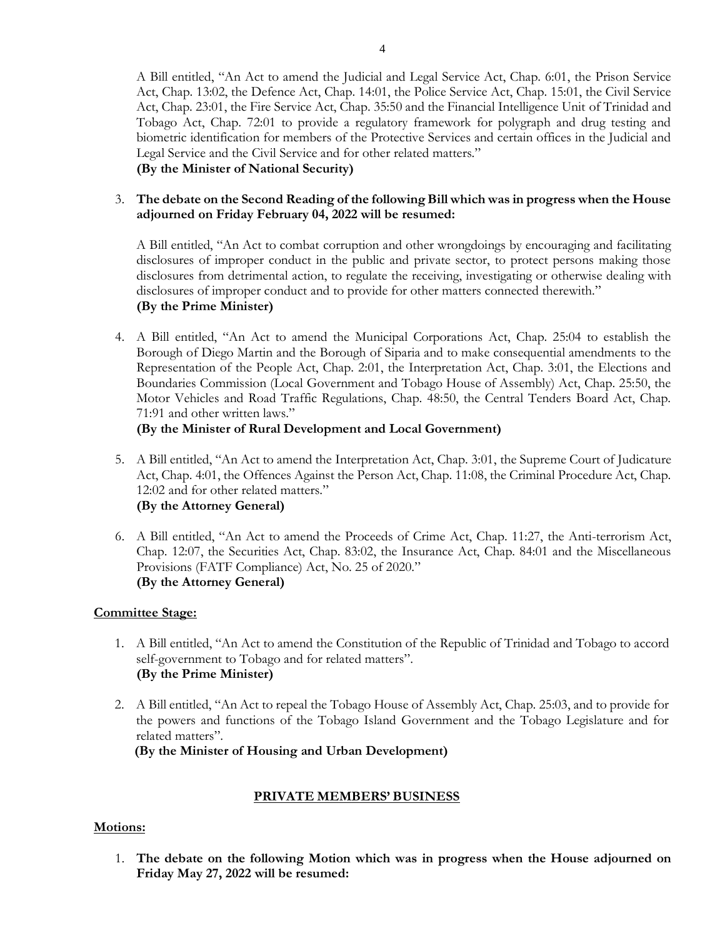A Bill entitled, "An Act to amend the Judicial and Legal Service Act, Chap. 6:01, the Prison Service Act, Chap. 13:02, the Defence Act, Chap. 14:01, the Police Service Act, Chap. 15:01, the Civil Service Act, Chap. 23:01, the Fire Service Act, Chap. 35:50 and the Financial Intelligence Unit of Trinidad and Tobago Act, Chap. 72:01 to provide a regulatory framework for polygraph and drug testing and biometric identification for members of the Protective Services and certain offices in the Judicial and Legal Service and the Civil Service and for other related matters."

**(By the Minister of National Security)**

3. **The debate on the Second Reading of the following Bill which was in progress when the House adjourned on Friday February 04, 2022 will be resumed:**

A Bill entitled, "An Act to combat corruption and other wrongdoings by encouraging and facilitating disclosures of improper conduct in the public and private sector, to protect persons making those disclosures from detrimental action, to regulate the receiving, investigating or otherwise dealing with disclosures of improper conduct and to provide for other matters connected therewith." **(By the Prime Minister)**

4. A Bill entitled, "An Act to amend the Municipal Corporations Act, Chap. 25:04 to establish the Borough of Diego Martin and the Borough of Siparia and to make consequential amendments to the Representation of the People Act, Chap. 2:01, the Interpretation Act, Chap. 3:01, the Elections and Boundaries Commission (Local Government and Tobago House of Assembly) Act, Chap. 25:50, the Motor Vehicles and Road Traffic Regulations, Chap. 48:50, the Central Tenders Board Act, Chap. 71:91 and other written laws."

## **(By the Minister of Rural Development and Local Government)**

- 5. A Bill entitled, "An Act to amend the Interpretation Act, Chap. 3:01, the Supreme Court of Judicature Act, Chap. 4:01, the Offences Against the Person Act, Chap. 11:08, the Criminal Procedure Act, Chap. 12:02 and for other related matters." **(By the Attorney General)**
- 6. A Bill entitled, "An Act to amend the Proceeds of Crime Act, Chap. 11:27, the Anti-terrorism Act, Chap. 12:07, the Securities Act, Chap. 83:02, the Insurance Act, Chap. 84:01 and the Miscellaneous Provisions (FATF Compliance) Act, No. 25 of 2020." **(By the Attorney General)**

## **Committee Stage:**

- 1. A Bill entitled, "An Act to amend the Constitution of the Republic of Trinidad and Tobago to accord self-government to Tobago and for related matters". **(By the Prime Minister)**
- 2. A Bill entitled, "An Act to repeal the Tobago House of Assembly Act, Chap. 25:03, and to provide for the powers and functions of the Tobago Island Government and the Tobago Legislature and for related matters".

 **(By the Minister of Housing and Urban Development)**

## **PRIVATE MEMBERS' BUSINESS**

## **Motions:**

1. **The debate on the following Motion which was in progress when the House adjourned on Friday May 27, 2022 will be resumed:**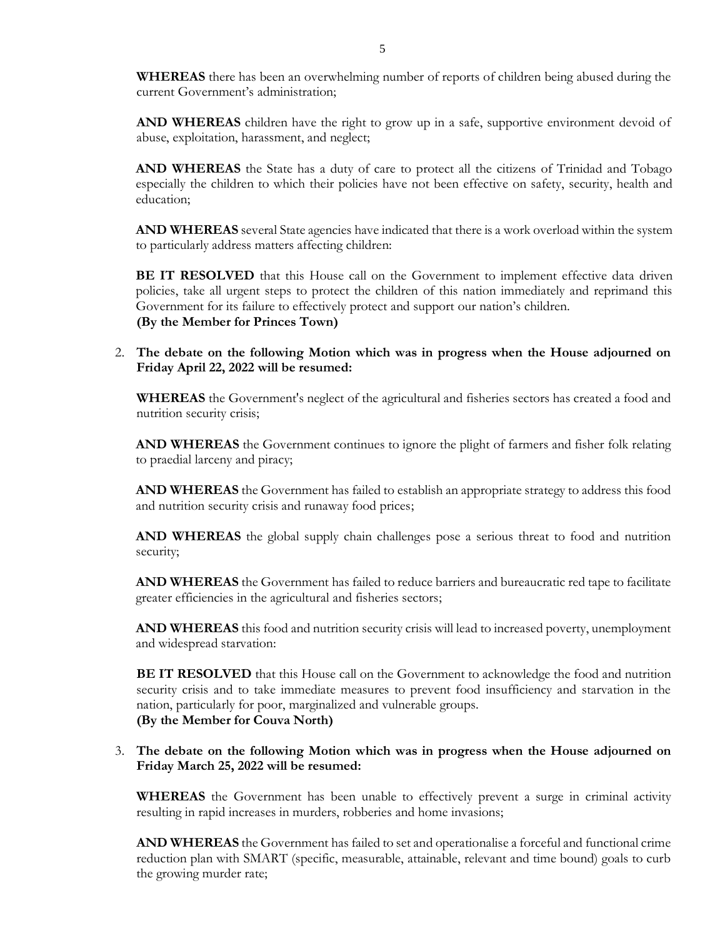**WHEREAS** there has been an overwhelming number of reports of children being abused during the current Government's administration;

**AND WHEREAS** children have the right to grow up in a safe, supportive environment devoid of abuse, exploitation, harassment, and neglect;

**AND WHEREAS** the State has a duty of care to protect all the citizens of Trinidad and Tobago especially the children to which their policies have not been effective on safety, security, health and education;

**AND WHEREAS** several State agencies have indicated that there is a work overload within the system to particularly address matters affecting children:

**BE IT RESOLVED** that this House call on the Government to implement effective data driven policies, take all urgent steps to protect the children of this nation immediately and reprimand this Government for its failure to effectively protect and support our nation's children. **(By the Member for Princes Town)**

2. **The debate on the following Motion which was in progress when the House adjourned on Friday April 22, 2022 will be resumed:**

**WHEREAS** the Government's neglect of the agricultural and fisheries sectors has created a food and nutrition security crisis;

**AND WHEREAS** the Government continues to ignore the plight of farmers and fisher folk relating to praedial larceny and piracy;

**AND WHEREAS** the Government has failed to establish an appropriate strategy to address this food and nutrition security crisis and runaway food prices;

**AND WHEREAS** the global supply chain challenges pose a serious threat to food and nutrition security;

**AND WHEREAS** the Government has failed to reduce barriers and bureaucratic red tape to facilitate greater efficiencies in the agricultural and fisheries sectors;

**AND WHEREAS** this food and nutrition security crisis will lead to increased poverty, unemployment and widespread starvation:

**BE IT RESOLVED** that this House call on the Government to acknowledge the food and nutrition security crisis and to take immediate measures to prevent food insufficiency and starvation in the nation, particularly for poor, marginalized and vulnerable groups. **(By the Member for Couva North)**

#### 3. **The debate on the following Motion which was in progress when the House adjourned on Friday March 25, 2022 will be resumed:**

**WHEREAS** the Government has been unable to effectively prevent a surge in criminal activity resulting in rapid increases in murders, robberies and home invasions;

**AND WHEREAS** the Government has failed to set and operationalise a forceful and functional crime reduction plan with SMART (specific, measurable, attainable, relevant and time bound) goals to curb the growing murder rate;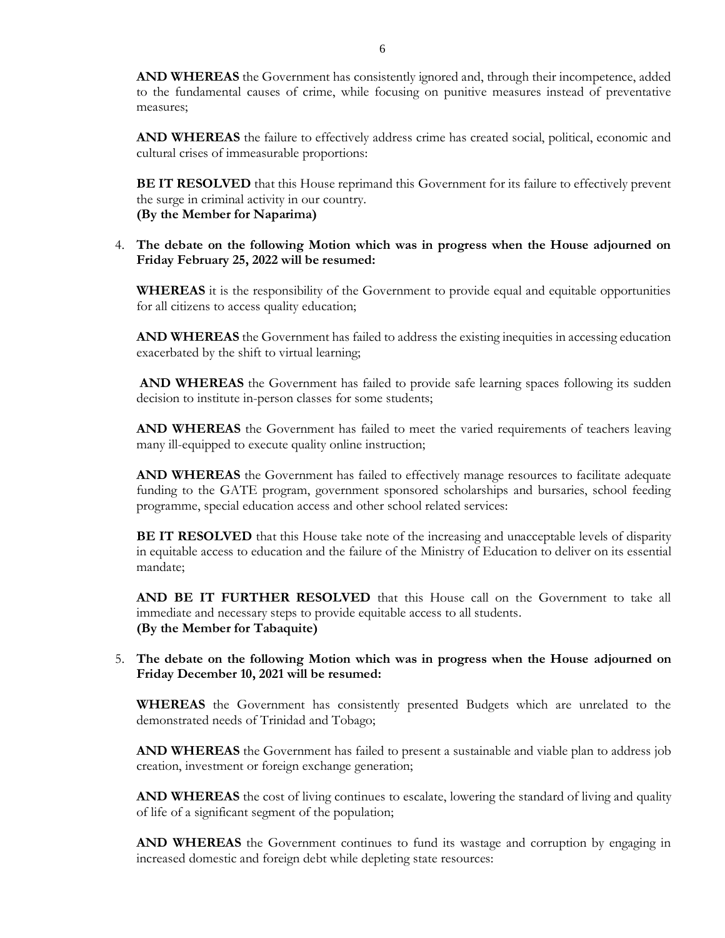**AND WHEREAS** the Government has consistently ignored and, through their incompetence, added to the fundamental causes of crime, while focusing on punitive measures instead of preventative measures;

**AND WHEREAS** the failure to effectively address crime has created social, political, economic and cultural crises of immeasurable proportions:

**BE IT RESOLVED** that this House reprimand this Government for its failure to effectively prevent the surge in criminal activity in our country. **(By the Member for Naparima)**

#### 4. **The debate on the following Motion which was in progress when the House adjourned on Friday February 25, 2022 will be resumed:**

**WHEREAS** it is the responsibility of the Government to provide equal and equitable opportunities for all citizens to access quality education;

**AND WHEREAS** the Government has failed to address the existing inequities in accessing education exacerbated by the shift to virtual learning;

**AND WHEREAS** the Government has failed to provide safe learning spaces following its sudden decision to institute in-person classes for some students;

**AND WHEREAS** the Government has failed to meet the varied requirements of teachers leaving many ill-equipped to execute quality online instruction;

AND WHEREAS the Government has failed to effectively manage resources to facilitate adequate funding to the GATE program, government sponsored scholarships and bursaries, school feeding programme, special education access and other school related services:

**BE IT RESOLVED** that this House take note of the increasing and unacceptable levels of disparity in equitable access to education and the failure of the Ministry of Education to deliver on its essential mandate;

**AND BE IT FURTHER RESOLVED** that this House call on the Government to take all immediate and necessary steps to provide equitable access to all students. **(By the Member for Tabaquite)**

#### 5. **The debate on the following Motion which was in progress when the House adjourned on Friday December 10, 2021 will be resumed:**

**WHEREAS** the Government has consistently presented Budgets which are unrelated to the demonstrated needs of Trinidad and Tobago;

**AND WHEREAS** the Government has failed to present a sustainable and viable plan to address job creation, investment or foreign exchange generation;

**AND WHEREAS** the cost of living continues to escalate, lowering the standard of living and quality of life of a significant segment of the population;

**AND WHEREAS** the Government continues to fund its wastage and corruption by engaging in increased domestic and foreign debt while depleting state resources: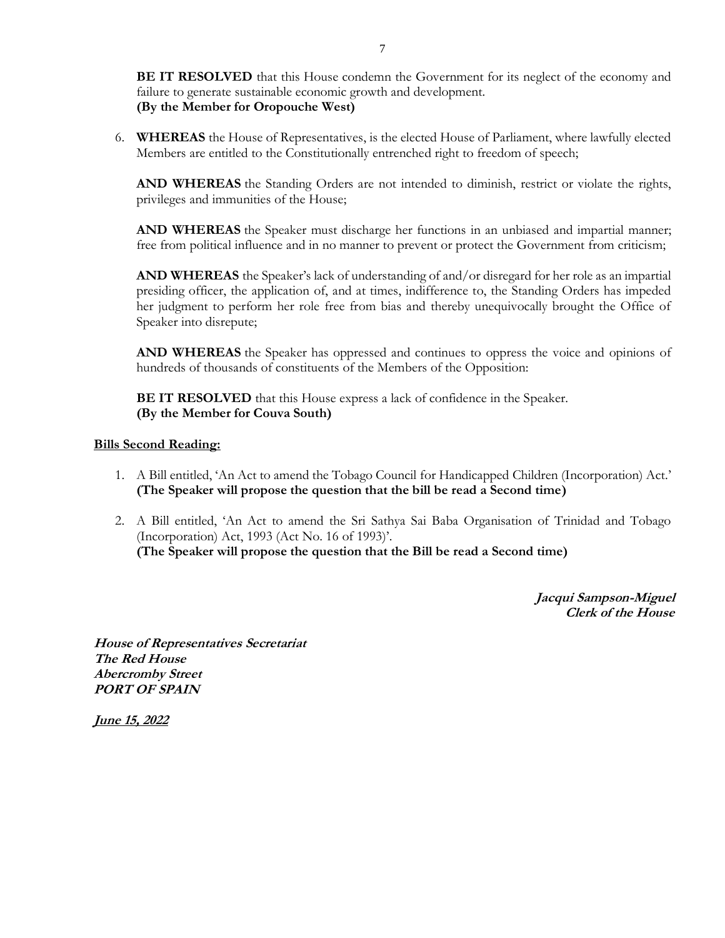**BE IT RESOLVED** that this House condemn the Government for its neglect of the economy and failure to generate sustainable economic growth and development. **(By the Member for Oropouche West)**

6. **WHEREAS** the House of Representatives, is the elected House of Parliament, where lawfully elected Members are entitled to the Constitutionally entrenched right to freedom of speech;

**AND WHEREAS** the Standing Orders are not intended to diminish, restrict or violate the rights, privileges and immunities of the House;

**AND WHEREAS** the Speaker must discharge her functions in an unbiased and impartial manner; free from political influence and in no manner to prevent or protect the Government from criticism;

**AND WHEREAS** the Speaker's lack of understanding of and/or disregard for her role as an impartial presiding officer, the application of, and at times, indifference to, the Standing Orders has impeded her judgment to perform her role free from bias and thereby unequivocally brought the Office of Speaker into disrepute;

**AND WHEREAS** the Speaker has oppressed and continues to oppress the voice and opinions of hundreds of thousands of constituents of the Members of the Opposition:

**BE IT RESOLVED** that this House express a lack of confidence in the Speaker. **(By the Member for Couva South)**

#### **Bills Second Reading:**

- 1. A Bill entitled, 'An Act to amend the Tobago Council for Handicapped Children (Incorporation) Act.' **(The Speaker will propose the question that the bill be read a Second time)**
- 2. A Bill entitled, 'An Act to amend the Sri Sathya Sai Baba Organisation of Trinidad and Tobago (Incorporation) Act, 1993 (Act No. 16 of 1993)'. **(The Speaker will propose the question that the Bill be read a Second time)**

**Jacqui Sampson-Miguel Clerk of the House** 

**House of Representatives Secretariat The Red House Abercromby Street PORT OF SPAIN**

**June 15, 2022**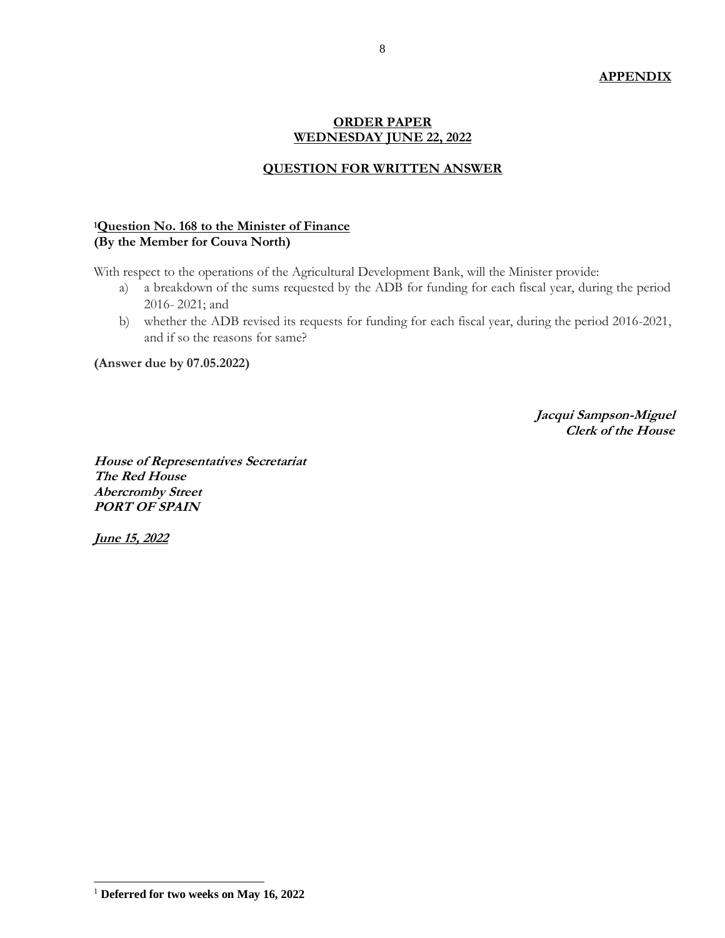#### **APPENDIX**

#### **ORDER PAPER WEDNESDAY JUNE 22, 2022**

#### **QUESTION FOR WRITTEN ANSWER**

#### **<sup>1</sup>Question No. 168 to the Minister of Finance (By the Member for Couva North)**

With respect to the operations of the Agricultural Development Bank, will the Minister provide:

- a) a breakdown of the sums requested by the ADB for funding for each fiscal year, during the period 2016- 2021; and
- b) whether the ADB revised its requests for funding for each fiscal year, during the period 2016-2021, and if so the reasons for same?

**(Answer due by 07.05.2022)**

**Jacqui Sampson-Miguel Clerk of the House** 

**House of Representatives Secretariat The Red House Abercromby Street PORT OF SPAIN**

**June 15, 2022**

 $\overline{a}$ <sup>1</sup> **Deferred for two weeks on May 16, 2022**